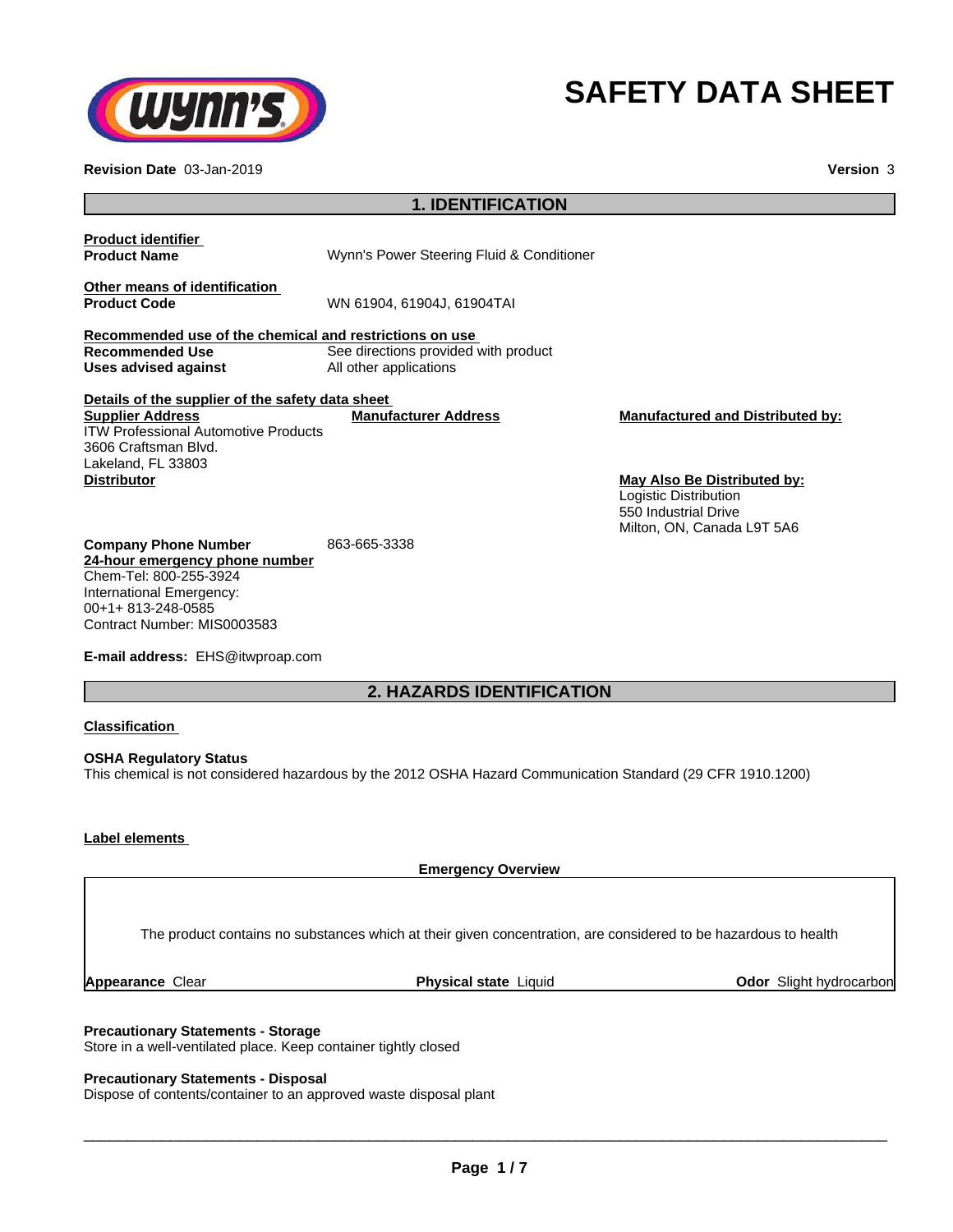

# **SAFETY DATA SHEET**

**Revision Date** 03-Jan-2019 **Version** 3

| <b>1. IDENTIFICATION</b>                                                                                                                                                 |                                                                |                                                                                                                   |  |
|--------------------------------------------------------------------------------------------------------------------------------------------------------------------------|----------------------------------------------------------------|-------------------------------------------------------------------------------------------------------------------|--|
| <b>Product identifier</b><br><b>Product Name</b>                                                                                                                         | Wynn's Power Steering Fluid & Conditioner                      |                                                                                                                   |  |
| Other means of identification<br><b>Product Code</b>                                                                                                                     | WN 61904, 61904J, 61904TAI                                     |                                                                                                                   |  |
| Recommended use of the chemical and restrictions on use<br><b>Recommended Use</b><br>Uses advised against                                                                | See directions provided with product<br>All other applications |                                                                                                                   |  |
| Details of the supplier of the safety data sheet<br><b>Supplier Address</b><br><b>ITW Professional Automotive Products</b><br>3606 Craftsman Blvd.<br>Lakeland, FL 33803 | <b>Manufacturer Address</b>                                    | <b>Manufactured and Distributed by:</b>                                                                           |  |
| <b>Distributor</b>                                                                                                                                                       |                                                                | <b>May Also Be Distributed by:</b><br>Logistic Distribution<br>550 Industrial Drive<br>Milton, ON, Canada L9T 5A6 |  |
| <b>Company Phone Number</b><br>24-hour emergency phone number<br>Chem-Tel: 800-255-3924<br>International Emergency:<br>00+1+813-248-0585<br>Contract Number: MIS0003583  | 863-665-3338                                                   |                                                                                                                   |  |
| E-mail address: EHS@itwproap.com                                                                                                                                         |                                                                |                                                                                                                   |  |
| <b>2. HAZARDS IDENTIFICATION</b>                                                                                                                                         |                                                                |                                                                                                                   |  |
|                                                                                                                                                                          |                                                                |                                                                                                                   |  |

#### **Classification**

**OSHA Regulatory Status** This chemical is not considered hazardous by the 2012 OSHA Hazard Communication Standard (29 CFR 1910.1200)

## **Label elements**

**Emergency Overview**

The product contains no substances which at their given concentration, are considered to be hazardous to health

**Appearance** Clear **Physical state** Liquid **Odor** Slight hydrocarbon

#### **Precautionary Statements - Storage**

Store in a well-ventilated place. Keep container tightly closed

#### **Precautionary Statements - Disposal**

Dispose of contents/container to an approved waste disposal plant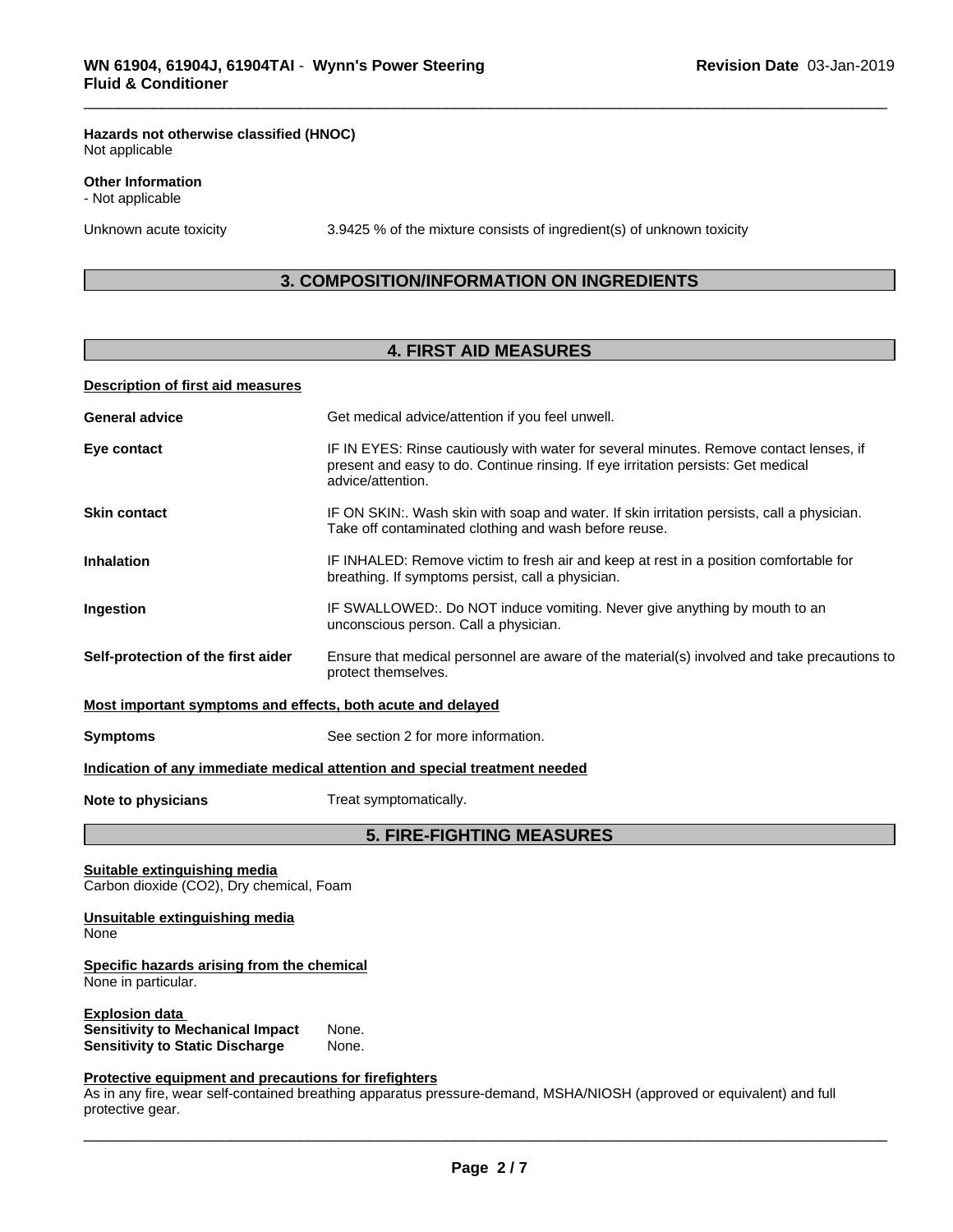#### **Hazards not otherwise classified (HNOC)** Not applicable

#### **Other Information**

- Not applicable

Unknown acute toxicity 3.9425 % of the mixture consists of ingredient(s) of unknown toxicity

# **3. COMPOSITION/INFORMATION ON INGREDIENTS**

# **4. FIRST AID MEASURES**

#### **Description of first aid measures**

| <b>General advice</b>                                                    | Get medical advice/attention if you feel unwell.                                                                                                                                                 |
|--------------------------------------------------------------------------|--------------------------------------------------------------------------------------------------------------------------------------------------------------------------------------------------|
| Eye contact                                                              | IF IN EYES: Rinse cautiously with water for several minutes. Remove contact lenses, if<br>present and easy to do. Continue rinsing. If eye irritation persists: Get medical<br>advice/attention. |
| <b>Skin contact</b>                                                      | IF ON SKIN:. Wash skin with soap and water. If skin irritation persists, call a physician.<br>Take off contaminated clothing and wash before reuse.                                              |
| <b>Inhalation</b>                                                        | IF INHALED: Remove victim to fresh air and keep at rest in a position comfortable for<br>breathing. If symptoms persist, call a physician.                                                       |
| Ingestion                                                                | IF SWALLOWED:. Do NOT induce vomiting. Never give anything by mouth to an<br>unconscious person. Call a physician.                                                                               |
| Self-protection of the first aider                                       | Ensure that medical personnel are aware of the material(s) involved and take precautions to<br>protect themselves.                                                                               |
| Most important symptoms and effects, both acute and delayed              |                                                                                                                                                                                                  |
| <b>Symptoms</b>                                                          | See section 2 for more information.                                                                                                                                                              |
|                                                                          | Indication of any immediate medical attention and special treatment needed                                                                                                                       |
| Note to physicians                                                       | Treat symptomatically.                                                                                                                                                                           |
|                                                                          | <b>5. FIRE-FIGHTING MEASURES</b>                                                                                                                                                                 |
| Suitable extinguishing media<br>Carbon dioxide (CO2), Dry chemical, Foam |                                                                                                                                                                                                  |
| Unsuitable extinguishing media<br>None                                   |                                                                                                                                                                                                  |
| Specific hazards arising from the chemical<br>None in particular.        |                                                                                                                                                                                                  |
| <b>Explosion data</b>                                                    |                                                                                                                                                                                                  |

# **Sensitivity to Static Discharge**

**Sensitivity to Mechanical Impact** None.

**Protective equipment and precautions for firefighters** As in any fire, wear self-contained breathing apparatus pressure-demand, MSHA/NIOSH (approved or equivalent) and full protective gear.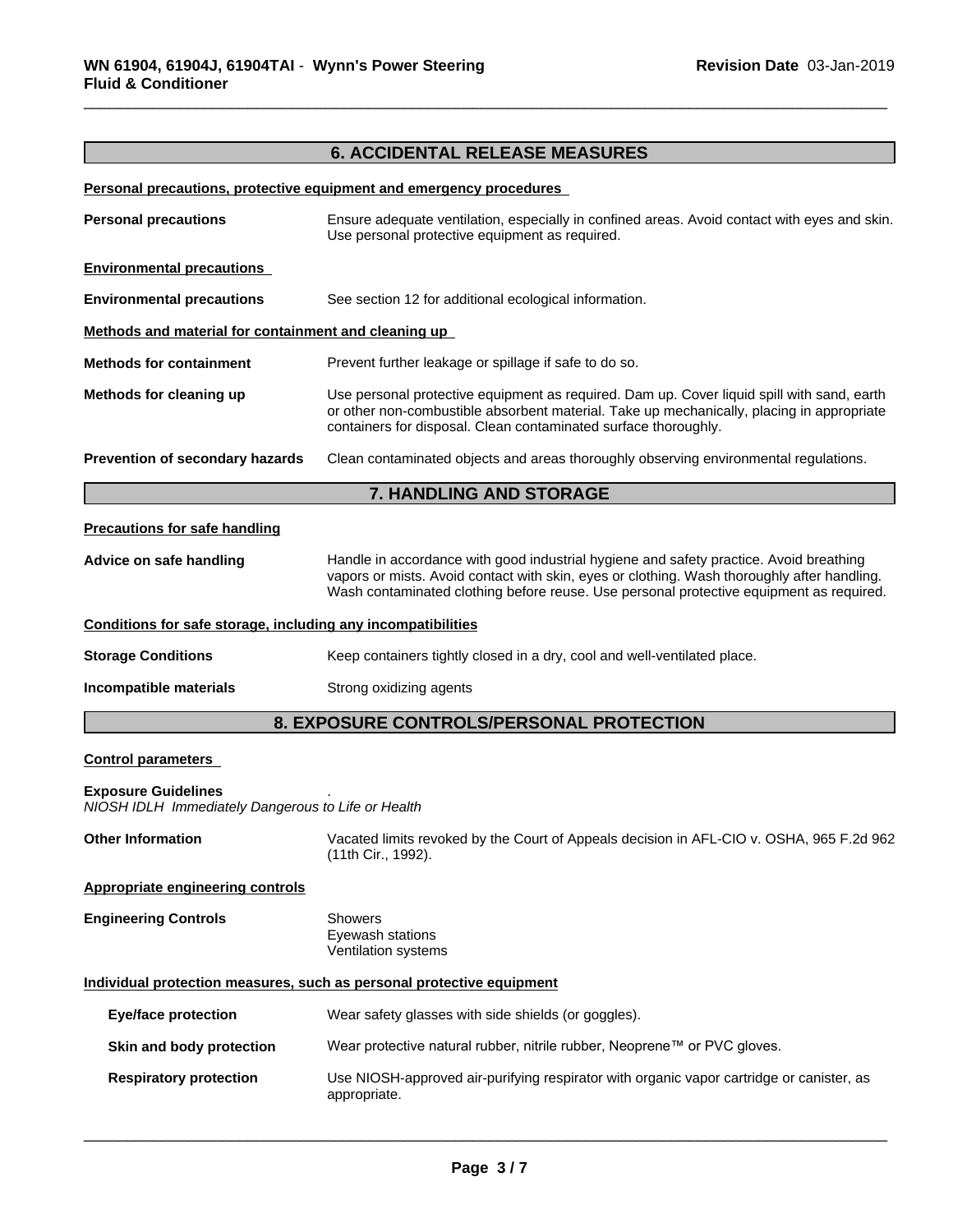# **6. ACCIDENTAL RELEASE MEASURES**

#### **Personal precautions, protective equipment and emergency procedures**

| <b>7. HANDLING AND STORAGE</b>                       |                                                                                                                                                                                                                                                            |  |
|------------------------------------------------------|------------------------------------------------------------------------------------------------------------------------------------------------------------------------------------------------------------------------------------------------------------|--|
| Prevention of secondary hazards                      | Clean contaminated objects and areas thoroughly observing environmental regulations.                                                                                                                                                                       |  |
| Methods for cleaning up                              | Use personal protective equipment as required. Dam up. Cover liquid spill with sand, earth<br>or other non-combustible absorbent material. Take up mechanically, placing in appropriate<br>containers for disposal. Clean contaminated surface thoroughly. |  |
| <b>Methods for containment</b>                       | Prevent further leakage or spillage if safe to do so.                                                                                                                                                                                                      |  |
| Methods and material for containment and cleaning up |                                                                                                                                                                                                                                                            |  |
| <b>Environmental precautions</b>                     | See section 12 for additional ecological information.                                                                                                                                                                                                      |  |
| <b>Environmental precautions</b>                     |                                                                                                                                                                                                                                                            |  |
| <b>Personal precautions</b>                          | Ensure adequate ventilation, especially in confined areas. Avoid contact with eyes and skin.<br>Use personal protective equipment as required.                                                                                                             |  |
|                                                      |                                                                                                                                                                                                                                                            |  |

#### **Precautions for safe handling**

**Advice on safe handling** Handle in accordance with good industrial hygiene and safety practice. Avoid breathing vapors or mists. Avoid contact with skin, eyes or clothing. Wash thoroughly after handling. Wash contaminated clothing before reuse. Use personal protective equipment as required.

#### **Conditions for safe storage, including any incompatibilities**

**Storage Conditions** Keep containers tightly closed in a dry, cool and well-ventilated place.

**Incompatible materials** Strong oxidizing agents

# **8. EXPOSURE CONTROLS/PERSONAL PROTECTION**

#### **Control parameters**

#### **Exposure Guidelines** .

*NIOSH IDLH Immediately Dangerous to Life or Health*

**Other Information** Vacated limits revoked by the Court of Appeals decision in AFL-CIO v.OSHA, 965 F.2d 962 (11th Cir., 1992).

#### **Appropriate engineering controls**

| <b>Engineering Controls</b> | Showers             |  |
|-----------------------------|---------------------|--|
|                             | Eyewash stations    |  |
|                             | Ventilation systems |  |

### **Individual protection measures, such as personal protective equipment**

| Eye/face protection           | Wear safety glasses with side shields (or goggles).                                                      |
|-------------------------------|----------------------------------------------------------------------------------------------------------|
| Skin and body protection      | Wear protective natural rubber, nitrile rubber, Neoprene™ or PVC gloves.                                 |
| <b>Respiratory protection</b> | Use NIOSH-approved air-purifying respirator with organic vapor cartridge or canister, as<br>appropriate. |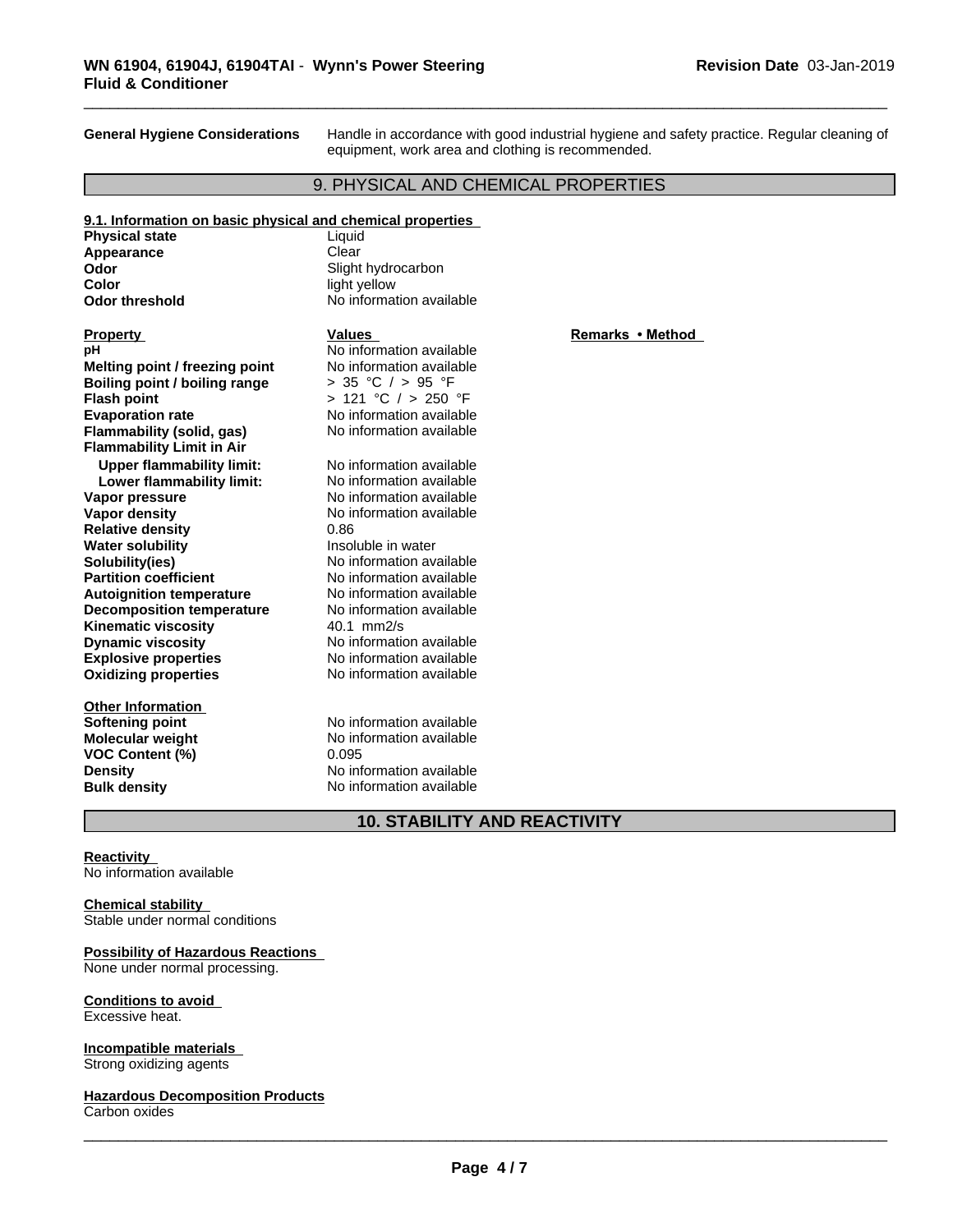**General Hygiene Considerations** Handle in accordance with good industrial hygiene and safety practice. Regular cleaning of equipment, work area and clothing is recommended.

# 9. PHYSICAL AND CHEMICAL PROPERTIES

| 9.1. Information on basic physical and chemical properties |                          |                  |
|------------------------------------------------------------|--------------------------|------------------|
| <b>Physical state</b>                                      | Liquid                   |                  |
| Appearance                                                 | Clear                    |                  |
| Odor                                                       | Slight hydrocarbon       |                  |
| Color                                                      | light yellow             |                  |
| <b>Odor threshold</b>                                      | No information available |                  |
| <b>Property</b>                                            | <b>Values</b>            | Remarks • Method |
| рH                                                         | No information available |                  |
| Melting point / freezing point                             | No information available |                  |
| Boiling point / boiling range                              | > 35 °C / > 95 °F        |                  |
| <b>Flash point</b>                                         | > 121 °C / > 250 °F      |                  |
| <b>Evaporation rate</b>                                    | No information available |                  |
| Flammability (solid, gas)                                  | No information available |                  |
| <b>Flammability Limit in Air</b>                           |                          |                  |
| <b>Upper flammability limit:</b>                           | No information available |                  |
| Lower flammability limit:                                  | No information available |                  |
| Vapor pressure                                             | No information available |                  |
| <b>Vapor density</b>                                       | No information available |                  |
| <b>Relative density</b>                                    | 0.86                     |                  |
| <b>Water solubility</b>                                    | Insoluble in water       |                  |
| Solubility(ies)                                            | No information available |                  |
| <b>Partition coefficient</b>                               | No information available |                  |
| <b>Autoignition temperature</b>                            | No information available |                  |
| <b>Decomposition temperature</b>                           | No information available |                  |
| <b>Kinematic viscosity</b>                                 | $40.1$ mm $2/s$          |                  |
| <b>Dynamic viscosity</b>                                   | No information available |                  |
| <b>Explosive properties</b>                                | No information available |                  |
| <b>Oxidizing properties</b>                                | No information available |                  |
| <b>Other Information</b>                                   |                          |                  |
| <b>Softening point</b>                                     | No information available |                  |
| Molecular weight                                           | No information available |                  |
| <b>VOC Content (%)</b>                                     | 0.095                    |                  |
| <b>Density</b>                                             | No information available |                  |
| <b>Bulk density</b>                                        | No information available |                  |
|                                                            |                          |                  |

# **10. STABILITY AND REACTIVITY**

#### **Reactivity**

No information available

#### **Chemical stability**

Stable under normal conditions

# **Possibility of Hazardous Reactions**

None under normal processing.

#### **Conditions to avoid** Excessive heat.

**Incompatible materials** Strong oxidizing agents

**Hazardous Decomposition Products** Carbon oxides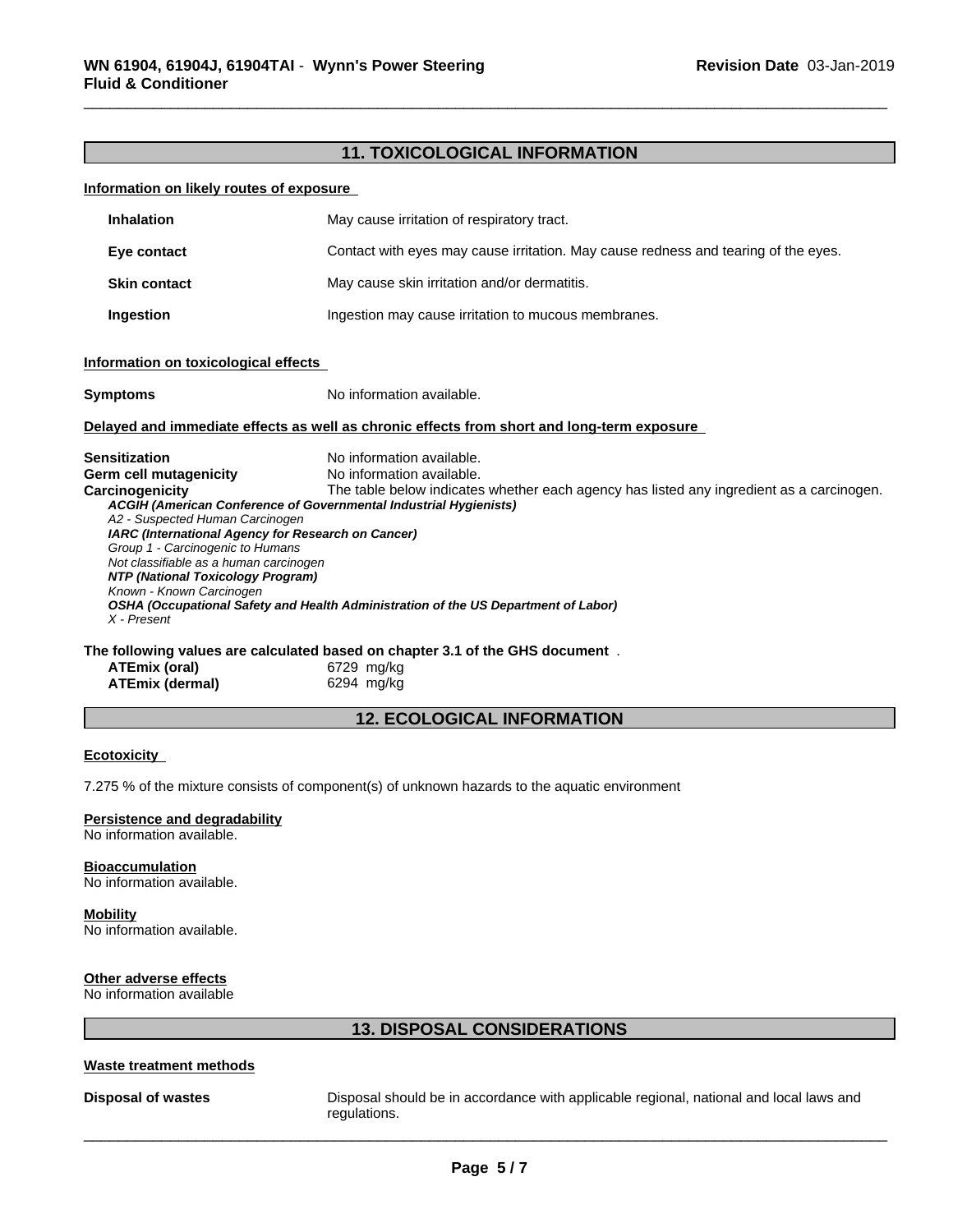# **11. TOXICOLOGICAL INFORMATION**

#### **Information on likely routes of exposure**

| <b>Inhalation</b>                                                                                                                                                                                                                                                                                                                                                                                                                                                                                                                                                                                                                         | May cause irritation of respiratory tract.                                                  |
|-------------------------------------------------------------------------------------------------------------------------------------------------------------------------------------------------------------------------------------------------------------------------------------------------------------------------------------------------------------------------------------------------------------------------------------------------------------------------------------------------------------------------------------------------------------------------------------------------------------------------------------------|---------------------------------------------------------------------------------------------|
| Eye contact                                                                                                                                                                                                                                                                                                                                                                                                                                                                                                                                                                                                                               | Contact with eyes may cause irritation. May cause redness and tearing of the eyes.          |
| <b>Skin contact</b>                                                                                                                                                                                                                                                                                                                                                                                                                                                                                                                                                                                                                       | May cause skin irritation and/or dermatitis.                                                |
| Ingestion                                                                                                                                                                                                                                                                                                                                                                                                                                                                                                                                                                                                                                 | Ingestion may cause irritation to mucous membranes.                                         |
| Information on toxicological effects                                                                                                                                                                                                                                                                                                                                                                                                                                                                                                                                                                                                      |                                                                                             |
| <b>Symptoms</b>                                                                                                                                                                                                                                                                                                                                                                                                                                                                                                                                                                                                                           | No information available.                                                                   |
|                                                                                                                                                                                                                                                                                                                                                                                                                                                                                                                                                                                                                                           | Delayed and immediate effects as well as chronic effects from short and long-term exposure  |
| No information available.<br>Sensitization<br>No information available.<br>Germ cell mutagenicity<br><b>Carcinogenicity</b><br>The table below indicates whether each agency has listed any ingredient as a carcinogen.<br>ACGIH (American Conference of Governmental Industrial Hygienists)<br>A2 - Suspected Human Carcinogen<br>IARC (International Agency for Research on Cancer)<br>Group 1 - Carcinogenic to Humans<br>Not classifiable as a human carcinogen<br>NTP (National Toxicology Program)<br>Known - Known Carcinogen<br>OSHA (Occupational Safety and Health Administration of the US Department of Labor)<br>X - Present |                                                                                             |
| <b>ATEmix (oral)</b>                                                                                                                                                                                                                                                                                                                                                                                                                                                                                                                                                                                                                      | The following values are calculated based on chapter 3.1 of the GHS document.<br>6729 mg/kg |

| $A$ $L$ $III$ $A$ $V$ $a$ $I$ |  |
|-------------------------------|--|
| ATEmix (dermal)               |  |

**ATEmix (dermal)**6294 mg/kg

# **12. ECOLOGICAL INFORMATION**

#### **Ecotoxicity**

7.275 % of the mixture consists of component(s) of unknown hazards to the aquatic environment

#### **Persistence and degradability**

No information available.

# **Bioaccumulation**

No information available.

#### **Mobility**

No information available.

# **Other adverse effects**

No information available

# **13. DISPOSAL CONSIDERATIONS**

#### **Waste treatment methods**

**Disposal of wastes** Disposal should be in accordance with applicable regional, national and local laws and regulations.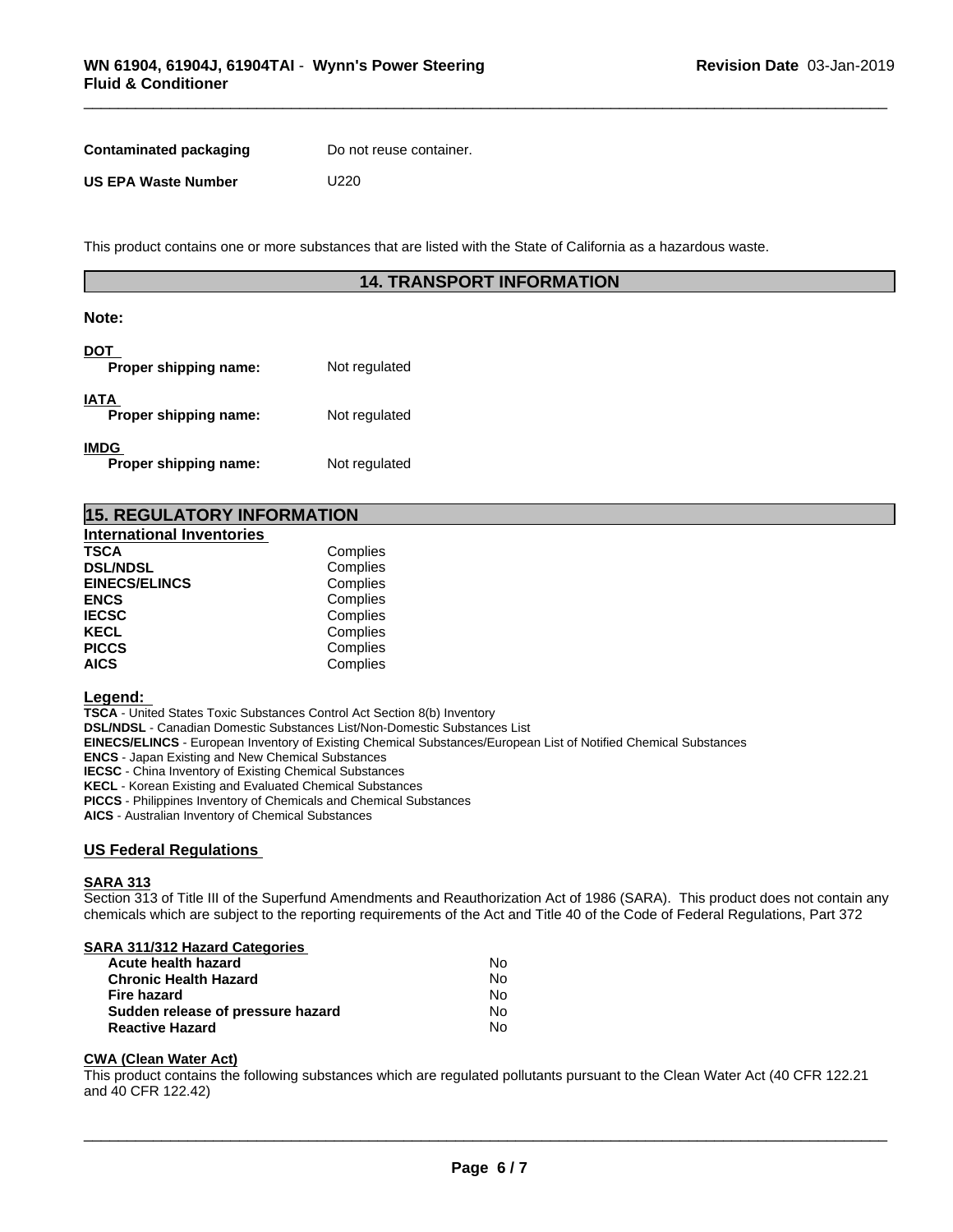| <b>Contaminated packaging</b> | Do not reuse container. |
|-------------------------------|-------------------------|
| <b>US EPA Waste Number</b>    | U220                    |

This product contains one or more substances that are listed with the State of California as a hazardous waste.

# **14. TRANSPORT INFORMATION**

# **Note:**

| DOT<br>Proper shipping name:         | Not regulated |
|--------------------------------------|---------------|
| <b>IATA</b><br>Proper shipping name: | Not regulated |
| <b>IMDG</b><br>Proper shipping name: | Not regulated |

| <b>15. REGULATORY INFORMATION</b> |  |
|-----------------------------------|--|
|-----------------------------------|--|

| <b>International Inventories</b> |          |  |
|----------------------------------|----------|--|
| <b>TSCA</b>                      | Complies |  |
| <b>DSL/NDSL</b>                  | Complies |  |
| <b>EINECS/ELINCS</b>             | Complies |  |
| <b>ENCS</b>                      | Complies |  |
| <b>IECSC</b>                     | Complies |  |
| <b>KECL</b>                      | Complies |  |
| <b>PICCS</b>                     | Complies |  |
| <b>AICS</b>                      | Complies |  |

#### **Legend:**

**TSCA** - United States Toxic Substances Control Act Section 8(b) Inventory **DSL/NDSL** - Canadian Domestic Substances List/Non-Domestic Substances List **EINECS/ELINCS** - European Inventory of Existing Chemical Substances/European List of Notified Chemical Substances **ENCS** - Japan Existing and New Chemical Substances **IECSC** - China Inventory of Existing Chemical Substances **KECL** - Korean Existing and Evaluated Chemical Substances **PICCS** - Philippines Inventory of Chemicals and Chemical Substances

**AICS** - Australian Inventory of Chemical Substances

### **US Federal Regulations**

#### **SARA 313**

Section 313 of Title III of the Superfund Amendments and Reauthorization Act of 1986 (SARA). This product does not contain any chemicals which are subject to the reporting requirements of the Act and Title 40 of the Code of Federal Regulations, Part 372

| SARA 311/312 Hazard Categories    |    |  |
|-----------------------------------|----|--|
| Acute health hazard               | No |  |
| <b>Chronic Health Hazard</b>      | No |  |
| <b>Fire hazard</b>                | No |  |
| Sudden release of pressure hazard | No |  |
| <b>Reactive Hazard</b>            | N٥ |  |
|                                   |    |  |

#### **CWA** (Clean Water Act)

This product contains the following substances which are regulated pollutants pursuant to the Clean Water Act (40 CFR 122.21 and 40 CFR 122.42)